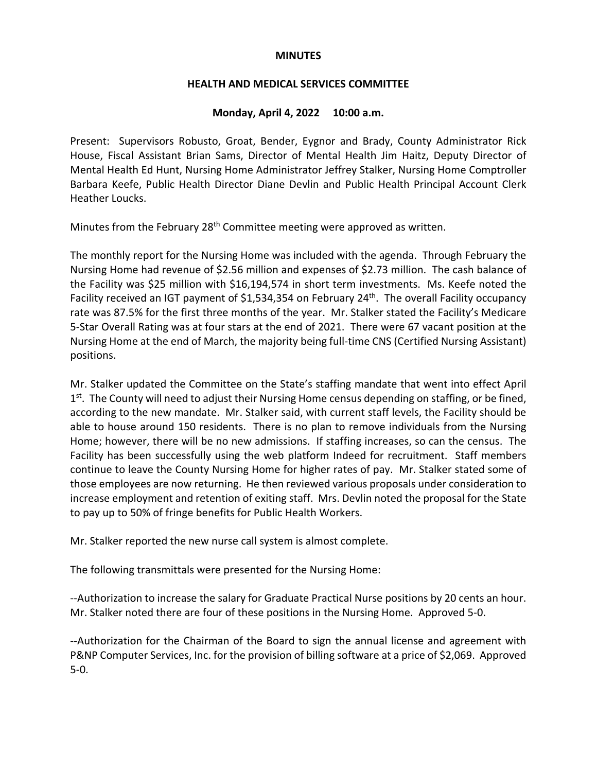#### **MINUTES**

#### **HEALTH AND MEDICAL SERVICES COMMITTEE**

#### **Monday, April 4, 2022 10:00 a.m.**

Present: Supervisors Robusto, Groat, Bender, Eygnor and Brady, County Administrator Rick House, Fiscal Assistant Brian Sams, Director of Mental Health Jim Haitz, Deputy Director of Mental Health Ed Hunt, Nursing Home Administrator Jeffrey Stalker, Nursing Home Comptroller Barbara Keefe, Public Health Director Diane Devlin and Public Health Principal Account Clerk Heather Loucks.

Minutes from the February 28<sup>th</sup> Committee meeting were approved as written.

The monthly report for the Nursing Home was included with the agenda. Through February the Nursing Home had revenue of \$2.56 million and expenses of \$2.73 million. The cash balance of the Facility was \$25 million with \$16,194,574 in short term investments. Ms. Keefe noted the Facility received an IGT payment of \$1,534,354 on February 24<sup>th</sup>. The overall Facility occupancy rate was 87.5% for the first three months of the year. Mr. Stalker stated the Facility's Medicare 5-Star Overall Rating was at four stars at the end of 2021. There were 67 vacant position at the Nursing Home at the end of March, the majority being full-time CNS (Certified Nursing Assistant) positions.

Mr. Stalker updated the Committee on the State's staffing mandate that went into effect April  $1<sup>st</sup>$ . The County will need to adjust their Nursing Home census depending on staffing, or be fined, according to the new mandate. Mr. Stalker said, with current staff levels, the Facility should be able to house around 150 residents. There is no plan to remove individuals from the Nursing Home; however, there will be no new admissions. If staffing increases, so can the census. The Facility has been successfully using the web platform Indeed for recruitment. Staff members continue to leave the County Nursing Home for higher rates of pay. Mr. Stalker stated some of those employees are now returning. He then reviewed various proposals under consideration to increase employment and retention of exiting staff. Mrs. Devlin noted the proposal for the State to pay up to 50% of fringe benefits for Public Health Workers.

Mr. Stalker reported the new nurse call system is almost complete.

The following transmittals were presented for the Nursing Home:

--Authorization to increase the salary for Graduate Practical Nurse positions by 20 cents an hour. Mr. Stalker noted there are four of these positions in the Nursing Home. Approved 5-0.

--Authorization for the Chairman of the Board to sign the annual license and agreement with P&NP Computer Services, Inc. for the provision of billing software at a price of \$2,069. Approved 5-0.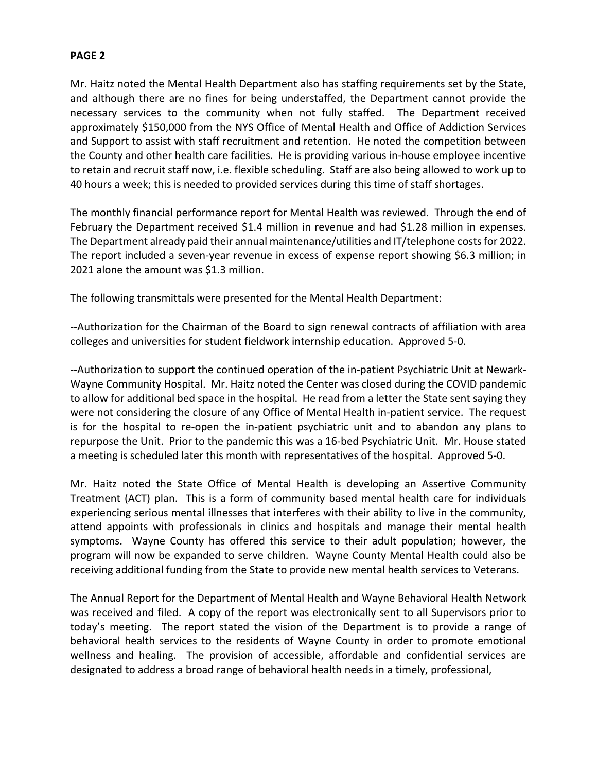Mr. Haitz noted the Mental Health Department also has staffing requirements set by the State, and although there are no fines for being understaffed, the Department cannot provide the necessary services to the community when not fully staffed. The Department received approximately \$150,000 from the NYS Office of Mental Health and Office of Addiction Services and Support to assist with staff recruitment and retention. He noted the competition between the County and other health care facilities. He is providing various in-house employee incentive to retain and recruit staff now, i.e. flexible scheduling. Staff are also being allowed to work up to 40 hours a week; this is needed to provided services during this time of staff shortages.

The monthly financial performance report for Mental Health was reviewed. Through the end of February the Department received \$1.4 million in revenue and had \$1.28 million in expenses. The Department already paid their annual maintenance/utilities and IT/telephone costsfor 2022. The report included a seven-year revenue in excess of expense report showing \$6.3 million; in 2021 alone the amount was \$1.3 million.

The following transmittals were presented for the Mental Health Department:

--Authorization for the Chairman of the Board to sign renewal contracts of affiliation with area colleges and universities for student fieldwork internship education. Approved 5-0.

--Authorization to support the continued operation of the in-patient Psychiatric Unit at Newark-Wayne Community Hospital. Mr. Haitz noted the Center was closed during the COVID pandemic to allow for additional bed space in the hospital. He read from a letter the State sent saying they were not considering the closure of any Office of Mental Health in-patient service. The request is for the hospital to re-open the in-patient psychiatric unit and to abandon any plans to repurpose the Unit. Prior to the pandemic this was a 16-bed Psychiatric Unit. Mr. House stated a meeting is scheduled later this month with representatives of the hospital. Approved 5-0.

Mr. Haitz noted the State Office of Mental Health is developing an Assertive Community Treatment (ACT) plan. This is a form of community based mental health care for individuals experiencing serious mental illnesses that interferes with their ability to live in the community, attend appoints with professionals in clinics and hospitals and manage their mental health symptoms. Wayne County has offered this service to their adult population; however, the program will now be expanded to serve children. Wayne County Mental Health could also be receiving additional funding from the State to provide new mental health services to Veterans.

The Annual Report for the Department of Mental Health and Wayne Behavioral Health Network was received and filed. A copy of the report was electronically sent to all Supervisors prior to today's meeting. The report stated the vision of the Department is to provide a range of behavioral health services to the residents of Wayne County in order to promote emotional wellness and healing. The provision of accessible, affordable and confidential services are designated to address a broad range of behavioral health needs in a timely, professional,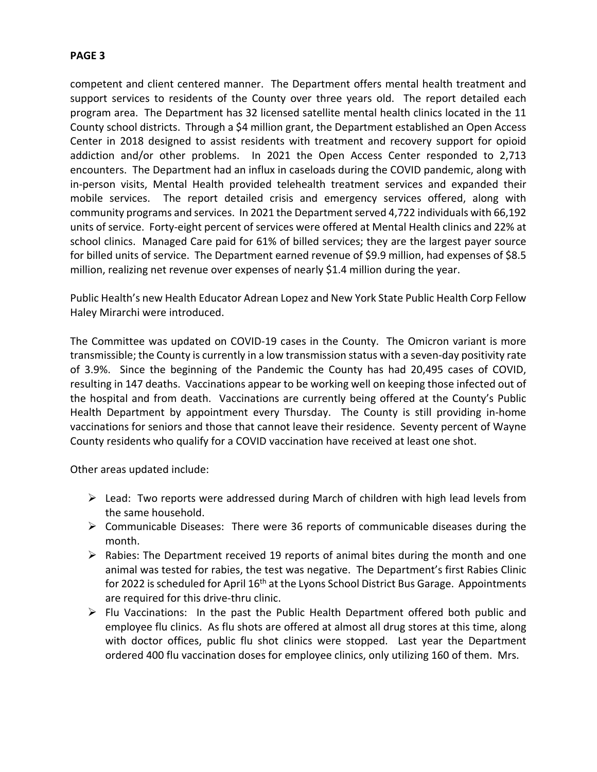competent and client centered manner. The Department offers mental health treatment and support services to residents of the County over three years old. The report detailed each program area. The Department has 32 licensed satellite mental health clinics located in the 11 County school districts. Through a \$4 million grant, the Department established an Open Access Center in 2018 designed to assist residents with treatment and recovery support for opioid addiction and/or other problems. In 2021 the Open Access Center responded to 2,713 encounters. The Department had an influx in caseloads during the COVID pandemic, along with in-person visits, Mental Health provided telehealth treatment services and expanded their mobile services. The report detailed crisis and emergency services offered, along with community programs and services. In 2021 the Department served 4,722 individuals with 66,192 units of service. Forty-eight percent of services were offered at Mental Health clinics and 22% at school clinics. Managed Care paid for 61% of billed services; they are the largest payer source for billed units of service. The Department earned revenue of \$9.9 million, had expenses of \$8.5 million, realizing net revenue over expenses of nearly \$1.4 million during the year.

Public Health's new Health Educator Adrean Lopez and New York State Public Health Corp Fellow Haley Mirarchi were introduced.

The Committee was updated on COVID-19 cases in the County. The Omicron variant is more transmissible; the County is currently in a low transmission status with a seven-day positivity rate of 3.9%. Since the beginning of the Pandemic the County has had 20,495 cases of COVID, resulting in 147 deaths. Vaccinations appear to be working well on keeping those infected out of the hospital and from death. Vaccinations are currently being offered at the County's Public Health Department by appointment every Thursday. The County is still providing in-home vaccinations for seniors and those that cannot leave their residence. Seventy percent of Wayne County residents who qualify for a COVID vaccination have received at least one shot.

Other areas updated include:

- $\triangleright$  Lead: Two reports were addressed during March of children with high lead levels from the same household.
- $\triangleright$  Communicable Diseases: There were 36 reports of communicable diseases during the month.
- $\triangleright$  Rabies: The Department received 19 reports of animal bites during the month and one animal was tested for rabies, the test was negative. The Department's first Rabies Clinic for 2022 is scheduled for April 16<sup>th</sup> at the Lyons School District Bus Garage. Appointments are required for this drive-thru clinic.
- $\triangleright$  Flu Vaccinations: In the past the Public Health Department offered both public and employee flu clinics. As flu shots are offered at almost all drug stores at this time, along with doctor offices, public flu shot clinics were stopped. Last year the Department ordered 400 flu vaccination doses for employee clinics, only utilizing 160 of them. Mrs.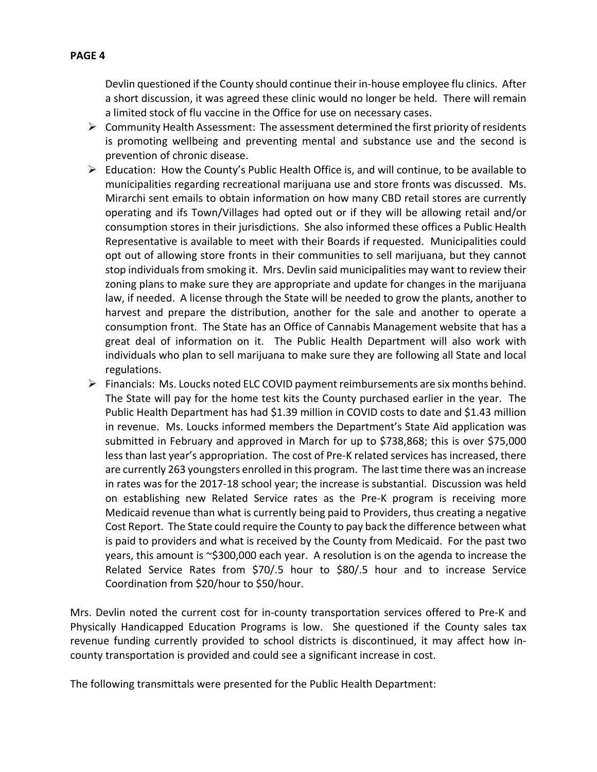## Devlin questioned if the County should continue their in-house employee flu clinics. After a short discussion, it was agreed these clinic would no longer be held. There will remain a limited stock of flu vaccine in the Office for use on necessary cases.

- $\triangleright$  Community Health Assessment: The assessment determined the first priority of residents is promoting wellbeing and preventing mental and substance use and the second is prevention of chronic disease.
- $\triangleright$  Education: How the County's Public Health Office is, and will continue, to be available to municipalities regarding recreational marijuana use and store fronts was discussed. Ms. Mirarchi sent emails to obtain information on how many CBD retail stores are currently operating and ifs Town/Villages had opted out or if they will be allowing retail and/or consumption stores in their jurisdictions. She also informed these offices a Public Health Representative is available to meet with their Boards if requested. Municipalities could opt out of allowing store fronts in their communities to sell marijuana, but they cannot stop individuals from smoking it. Mrs. Devlin said municipalities may want to review their zoning plans to make sure they are appropriate and update for changes in the marijuana law, if needed. A license through the State will be needed to grow the plants, another to harvest and prepare the distribution, another for the sale and another to operate a consumption front. The State has an Office of Cannabis Management website that has a great deal of information on it. The Public Health Department will also work with individuals who plan to sell marijuana to make sure they are following all State and local regulations.
- $\triangleright$  Financials: Ms. Loucks noted ELC COVID payment reimbursements are six months behind. The State will pay for the home test kits the County purchased earlier in the year. The Public Health Department has had \$1.39 million in COVID costs to date and \$1.43 million in revenue. Ms. Loucks informed members the Department's State Aid application was submitted in February and approved in March for up to \$738,868; this is over \$75,000 less than last year's appropriation. The cost of Pre-K related services has increased, there are currently 263 youngsters enrolled in this program. The last time there was an increase in rates was for the 2017-18 school year; the increase is substantial. Discussion was held on establishing new Related Service rates as the Pre-K program is receiving more Medicaid revenue than what is currently being paid to Providers, thus creating a negative Cost Report. The State could require the County to pay back the difference between what is paid to providers and what is received by the County from Medicaid. For the past two years, this amount is ~\$300,000 each year. A resolution is on the agenda to increase the Related Service Rates from \$70/.5 hour to \$80/.5 hour and to increase Service Coordination from \$20/hour to \$50/hour.

Mrs. Devlin noted the current cost for in-county transportation services offered to Pre-K and Physically Handicapped Education Programs is low. She questioned if the County sales tax revenue funding currently provided to school districts is discontinued, it may affect how incounty transportation is provided and could see a significant increase in cost.

The following transmittals were presented for the Public Health Department: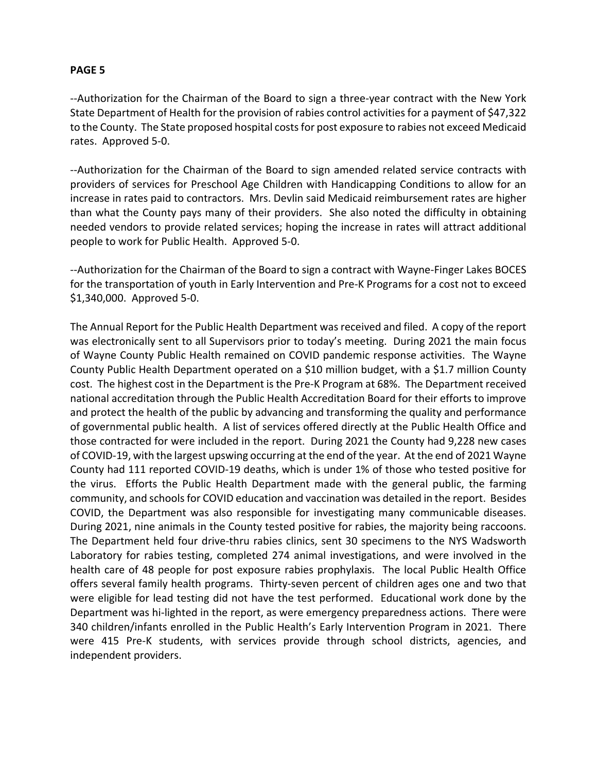--Authorization for the Chairman of the Board to sign a three-year contract with the New York State Department of Health for the provision of rabies control activities for a payment of \$47,322 to the County. The State proposed hospital costs for post exposure to rabies not exceed Medicaid rates. Approved 5-0.

--Authorization for the Chairman of the Board to sign amended related service contracts with providers of services for Preschool Age Children with Handicapping Conditions to allow for an increase in rates paid to contractors. Mrs. Devlin said Medicaid reimbursement rates are higher than what the County pays many of their providers. She also noted the difficulty in obtaining needed vendors to provide related services; hoping the increase in rates will attract additional people to work for Public Health. Approved 5-0.

--Authorization for the Chairman of the Board to sign a contract with Wayne-Finger Lakes BOCES for the transportation of youth in Early Intervention and Pre-K Programs for a cost not to exceed \$1,340,000. Approved 5-0.

The Annual Report for the Public Health Department was received and filed. A copy of the report was electronically sent to all Supervisors prior to today's meeting. During 2021 the main focus of Wayne County Public Health remained on COVID pandemic response activities. The Wayne County Public Health Department operated on a \$10 million budget, with a \$1.7 million County cost. The highest cost in the Department is the Pre-K Program at 68%. The Department received national accreditation through the Public Health Accreditation Board for their efforts to improve and protect the health of the public by advancing and transforming the quality and performance of governmental public health. A list of services offered directly at the Public Health Office and those contracted for were included in the report. During 2021 the County had 9,228 new cases of COVID-19, with the largest upswing occurring at the end of the year. At the end of 2021 Wayne County had 111 reported COVID-19 deaths, which is under 1% of those who tested positive for the virus. Efforts the Public Health Department made with the general public, the farming community, and schools for COVID education and vaccination was detailed in the report. Besides COVID, the Department was also responsible for investigating many communicable diseases. During 2021, nine animals in the County tested positive for rabies, the majority being raccoons. The Department held four drive-thru rabies clinics, sent 30 specimens to the NYS Wadsworth Laboratory for rabies testing, completed 274 animal investigations, and were involved in the health care of 48 people for post exposure rabies prophylaxis. The local Public Health Office offers several family health programs. Thirty-seven percent of children ages one and two that were eligible for lead testing did not have the test performed. Educational work done by the Department was hi-lighted in the report, as were emergency preparedness actions. There were 340 children/infants enrolled in the Public Health's Early Intervention Program in 2021. There were 415 Pre-K students, with services provide through school districts, agencies, and independent providers.